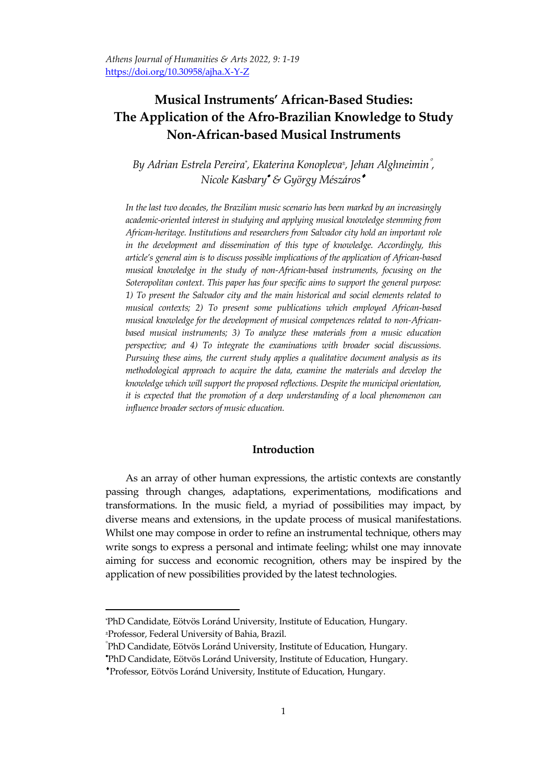*Athens Journal of Humanities & Arts 2022, 9: 1-19* https://doi.org/10.30958/ajha.X-Y-Z

# **Musical Instruments' African-Based Studies: The Application of the Afro-Brazilian Knowledge to Study Non-African-based Musical Instruments**

*By Adrian Estrela Pereira\* , Ekaterina Konopleva<sup>±</sup> , Jehan Alghneimin , Nicole Kasbary & György Mészáros*

*In the last two decades, the Brazilian music scenario has been marked by an increasingly academic-oriented interest in studying and applying musical knowledge stemming from African-heritage. Institutions and researchers from Salvador city hold an important role in the development and dissemination of this type of knowledge. Accordingly, this article's general aim is to discuss possible implications of the application of African-based musical knowledge in the study of non-African-based instruments, focusing on the Soteropolitan context. This paper has four specific aims to support the general purpose: 1) To present the Salvador city and the main historical and social elements related to musical contexts; 2) To present some publications which employed African-based musical knowledge for the development of musical competences related to non-Africanbased musical instruments; 3) To analyze these materials from a music education perspective; and 4) To integrate the examinations with broader social discussions. Pursuing these aims, the current study applies a qualitative document analysis as its methodological approach to acquire the data, examine the materials and develop the knowledge which will support the proposed reflections. Despite the municipal orientation, it is expected that the promotion of a deep understanding of a local phenomenon can influence broader sectors of music education.* 

## **Introduction**

As an array of other human expressions, the artistic contexts are constantly passing through changes, adaptations, experimentations, modifications and transformations. In the music field, a myriad of possibilities may impact, by diverse means and extensions, in the update process of musical manifestations. Whilst one may compose in order to refine an instrumental technique, others may write songs to express a personal and intimate feeling; whilst one may innovate aiming for success and economic recognition, others may be inspired by the application of new possibilities provided by the latest technologies.

<sup>\*</sup>PhD Candidate, Eötvös Loránd University, Institute of Education, Hungary. <sup>±</sup>Professor, Federal University of Bahia, Brazil.

PhD Candidate, Eötvös Loránd University, Institute of Education, Hungary. PhD Candidate, Eötvös Loránd University, Institute of Education, Hungary.

Professor, Eötvös Loránd University, Institute of Education, Hungary.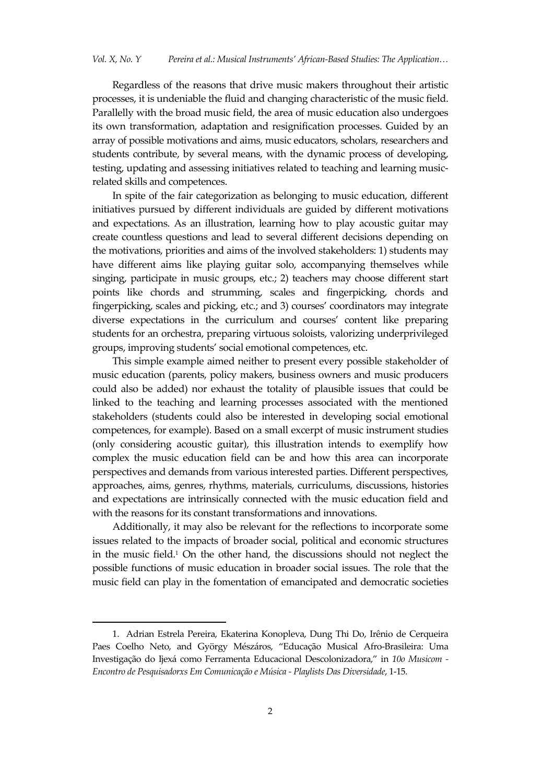Regardless of the reasons that drive music makers throughout their artistic processes, it is undeniable the fluid and changing characteristic of the music field. Parallelly with the broad music field, the area of music education also undergoes its own transformation, adaptation and resignification processes. Guided by an array of possible motivations and aims, music educators, scholars, researchers and students contribute, by several means, with the dynamic process of developing, testing, updating and assessing initiatives related to teaching and learning musicrelated skills and competences.

In spite of the fair categorization as belonging to music education, different initiatives pursued by different individuals are guided by different motivations and expectations. As an illustration, learning how to play acoustic guitar may create countless questions and lead to several different decisions depending on the motivations, priorities and aims of the involved stakeholders: 1) students may have different aims like playing guitar solo, accompanying themselves while singing, participate in music groups, etc.; 2) teachers may choose different start points like chords and strumming, scales and fingerpicking, chords and fingerpicking, scales and picking, etc.; and 3) courses' coordinators may integrate diverse expectations in the curriculum and courses' content like preparing students for an orchestra, preparing virtuous soloists, valorizing underprivileged groups, improving students' social emotional competences, etc.

This simple example aimed neither to present every possible stakeholder of music education (parents, policy makers, business owners and music producers could also be added) nor exhaust the totality of plausible issues that could be linked to the teaching and learning processes associated with the mentioned stakeholders (students could also be interested in developing social emotional competences, for example). Based on a small excerpt of music instrument studies (only considering acoustic guitar), this illustration intends to exemplify how complex the music education field can be and how this area can incorporate perspectives and demands from various interested parties. Different perspectives, approaches, aims, genres, rhythms, materials, curriculums, discussions, histories and expectations are intrinsically connected with the music education field and with the reasons for its constant transformations and innovations.

Additionally, it may also be relevant for the reflections to incorporate some issues related to the impacts of broader social, political and economic structures in the music field.<sup>1</sup> On the other hand, the discussions should not neglect the possible functions of music education in broader social issues. The role that the music field can play in the fomentation of emancipated and democratic societies

<sup>1.</sup> Adrian Estrela Pereira, Ekaterina Konopleva, Dung Thi Do, Irênio de Cerqueira Paes Coelho Neto, and György Mészáros, 'Educação Musical Afro-Brasileira: Uma Investigação do Ijex{ como Ferramenta Educacional Descolonizadora,' in *10o Musicom - Encontro de Pesquisadorxs Em Comunicação e Música - Playlists Das Diversidade*, 1-15.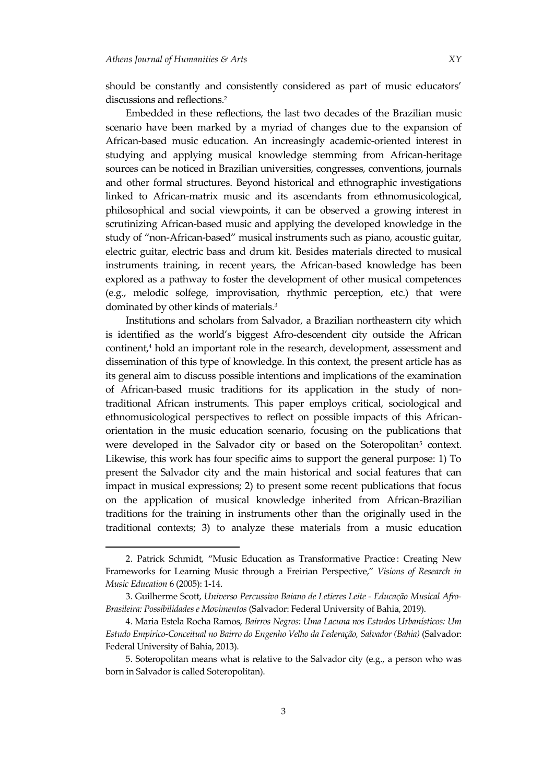$\overline{\phantom{a}}$ 

should be constantly and consistently considered as part of music educators' discussions and reflections.<sup>2</sup>

Embedded in these reflections, the last two decades of the Brazilian music scenario have been marked by a myriad of changes due to the expansion of African-based music education. An increasingly academic-oriented interest in studying and applying musical knowledge stemming from African-heritage sources can be noticed in Brazilian universities, congresses, conventions, journals and other formal structures. Beyond historical and ethnographic investigations linked to African-matrix music and its ascendants from ethnomusicological, philosophical and social viewpoints, it can be observed a growing interest in scrutinizing African-based music and applying the developed knowledge in the study of 'non-African-based' musical instruments such as piano, acoustic guitar, electric guitar, electric bass and drum kit. Besides materials directed to musical instruments training, in recent years, the African-based knowledge has been explored as a pathway to foster the development of other musical competences (e.g., melodic solfege, improvisation, rhythmic perception, etc.) that were dominated by other kinds of materials.<sup>3</sup>

Institutions and scholars from Salvador, a Brazilian northeastern city which is identified as the world's biggest Afro-descendent city outside the African continent,<sup>4</sup> hold an important role in the research, development, assessment and dissemination of this type of knowledge. In this context, the present article has as its general aim to discuss possible intentions and implications of the examination of African-based music traditions for its application in the study of nontraditional African instruments. This paper employs critical, sociological and ethnomusicological perspectives to reflect on possible impacts of this Africanorientation in the music education scenario, focusing on the publications that were developed in the Salvador city or based on the Soteropolitan<sup>5</sup> context. Likewise, this work has four specific aims to support the general purpose: 1) To present the Salvador city and the main historical and social features that can impact in musical expressions; 2) to present some recent publications that focus on the application of musical knowledge inherited from African-Brazilian traditions for the training in instruments other than the originally used in the traditional contexts; 3) to analyze these materials from a music education

<sup>2.</sup> Patrick Schmidt, 'Music Education as Transformative Practice : Creating New Frameworks for Learning Music through a Freirian Perspective,' *Visions of Research in Music Education* 6 (2005): 1-14.

<sup>3.</sup> Guilherme Scott, *Universo Percussivo Baiano de Letieres Leite - Educação Musical Afro-Brasileira: Possibilidades e Movimentos* (Salvador: Federal University of Bahia, 2019).

<sup>4.</sup> Maria Estela Rocha Ramos, *Bairros Negros: Uma Lacuna nos Estudos Urbanísticos: Um Estudo Empírico-Conceitual no Bairro do Engenho Velho da Federação, Salvador (Bahia)* (Salvador: Federal University of Bahia, 2013).

<sup>5.</sup> Soteropolitan means what is relative to the Salvador city (e.g., a person who was born in Salvador is called Soteropolitan).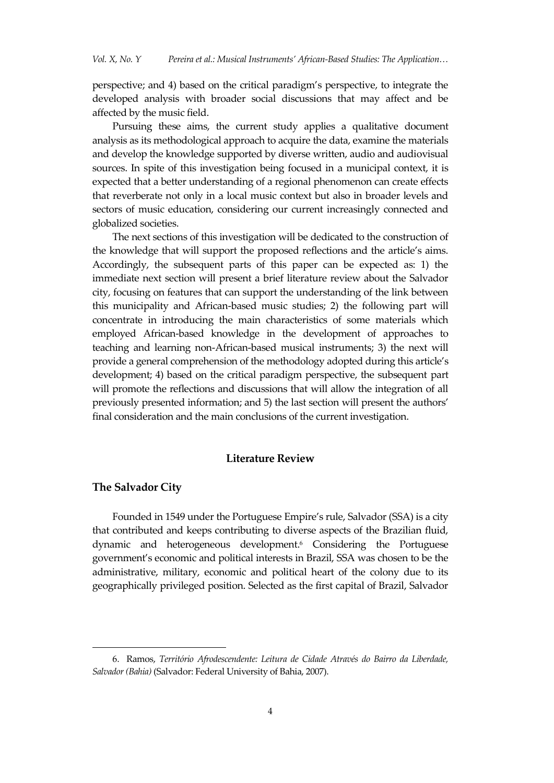perspective; and 4) based on the critical paradigm's perspective, to integrate the developed analysis with broader social discussions that may affect and be affected by the music field.

Pursuing these aims, the current study applies a qualitative document analysis as its methodological approach to acquire the data, examine the materials and develop the knowledge supported by diverse written, audio and audiovisual sources. In spite of this investigation being focused in a municipal context, it is expected that a better understanding of a regional phenomenon can create effects that reverberate not only in a local music context but also in broader levels and sectors of music education, considering our current increasingly connected and globalized societies.

The next sections of this investigation will be dedicated to the construction of the knowledge that will support the proposed reflections and the article's aims. Accordingly, the subsequent parts of this paper can be expected as: 1) the immediate next section will present a brief literature review about the Salvador city, focusing on features that can support the understanding of the link between this municipality and African-based music studies; 2) the following part will concentrate in introducing the main characteristics of some materials which employed African-based knowledge in the development of approaches to teaching and learning non-African-based musical instruments; 3) the next will provide a general comprehension of the methodology adopted during this article's development; 4) based on the critical paradigm perspective, the subsequent part will promote the reflections and discussions that will allow the integration of all previously presented information; and 5) the last section will present the authors' final consideration and the main conclusions of the current investigation.

## **Literature Review**

#### **The Salvador City**

 $\overline{a}$ 

Founded in 1549 under the Portuguese Empire's rule, Salvador (SSA) is a city that contributed and keeps contributing to diverse aspects of the Brazilian fluid, dynamic and heterogeneous development.<sup>6</sup> Considering the Portuguese government's economic and political interests in Brazil, SSA was chosen to be the administrative, military, economic and political heart of the colony due to its geographically privileged position. Selected as the first capital of Brazil, Salvador

<sup>6.</sup> Ramos, *Território Afrodescendente: Leitura de Cidade Através do Bairro da Liberdade, Salvador (Bahia)* (Salvador: Federal University of Bahia, 2007).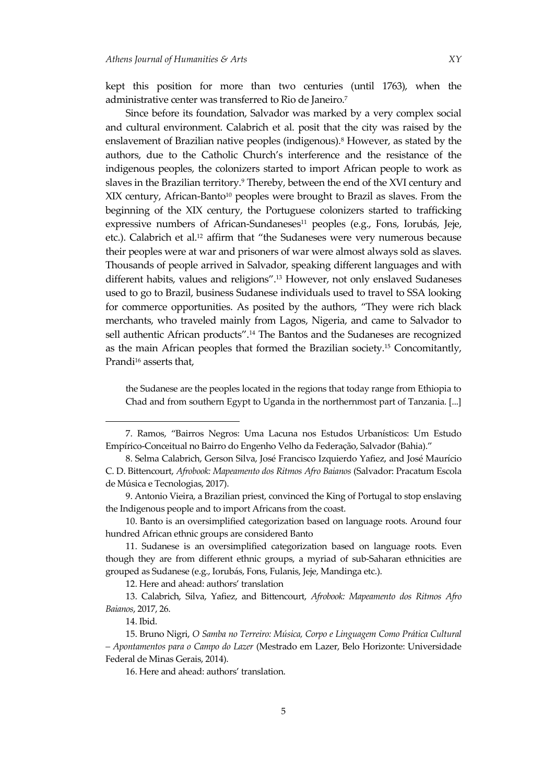kept this position for more than two centuries (until 1763), when the administrative center was transferred to Rio de Janeiro.<sup>7</sup>

Since before its foundation, Salvador was marked by a very complex social and cultural environment. Calabrich et al. posit that the city was raised by the enslavement of Brazilian native peoples (indigenous).<sup>8</sup> However, as stated by the authors, due to the Catholic Church's interference and the resistance of the indigenous peoples, the colonizers started to import African people to work as slaves in the Brazilian territory.<sup>9</sup> Thereby, between the end of the XVI century and XIX century, African-Banto<sup>10</sup> peoples were brought to Brazil as slaves. From the beginning of the XIX century, the Portuguese colonizers started to trafficking expressive numbers of African-Sundaneses<sup>11</sup> peoples (e.g., Fons, Iorubás, Jeje, etc.). Calabrich et al.<sup>12</sup> affirm that 'the Sudaneses were very numerous because their peoples were at war and prisoners of war were almost always sold as slaves. Thousands of people arrived in Salvador, speaking different languages and with different habits, values and religions'. <sup>13</sup> However, not only enslaved Sudaneses used to go to Brazil, business Sudanese individuals used to travel to SSA looking for commerce opportunities. As posited by the authors, 'They were rich black merchants, who traveled mainly from Lagos, Nigeria, and came to Salvador to sell authentic African products'.<sup>14</sup> The Bantos and the Sudaneses are recognized as the main African peoples that formed the Brazilian society.<sup>15</sup> Concomitantly, Prandi<sup>16</sup> asserts that,

the Sudanese are the peoples located in the regions that today range from Ethiopia to Chad and from southern Egypt to Uganda in the northernmost part of Tanzania. [...]

<sup>7.</sup> Ramos, 'Bairros Negros: Uma Lacuna nos Estudos Urbanísticos: Um Estudo Empírico-Conceitual no Bairro do Engenho Velho da Federação, Salvador (Bahia).'

<sup>8.</sup> Selma Calabrich, Gerson Silva, José Francisco Izquierdo Yafiez, and José Maurício C. D. Bittencourt, *Afrobook: Mapeamento dos Ritmos Afro Baianos* (Salvador: Pracatum Escola de Música e Tecnologias, 2017).

<sup>9.</sup> Antonio Vieira, a Brazilian priest, convinced the King of Portugal to stop enslaving the Indigenous people and to import Africans from the coast.

<sup>10.</sup> Banto is an oversimplified categorization based on language roots. Around four hundred African ethnic groups are considered Banto

<sup>11.</sup> Sudanese is an oversimplified categorization based on language roots. Even though they are from different ethnic groups, a myriad of sub-Saharan ethnicities are grouped as Sudanese (e.g., Iorubás, Fons, Fulanis, Jeje, Mandinga etc.).

<sup>12.</sup> Here and ahead: authors' translation

<sup>13.</sup> Calabrich, Silva, Yafiez, and Bittencourt, *Afrobook: Mapeamento dos Ritmos Afro Baianos*, 2017, 26.

<sup>14.</sup> Ibid.

<sup>15.</sup> Bruno Nigri, *O Samba no Terreiro: Música, Corpo e Linguagem Como Prática Cultural – Apontamentos para o Campo do Lazer* (Mestrado em Lazer, Belo Horizonte: Universidade Federal de Minas Gerais, 2014).

<sup>16.</sup> Here and ahead: authors' translation.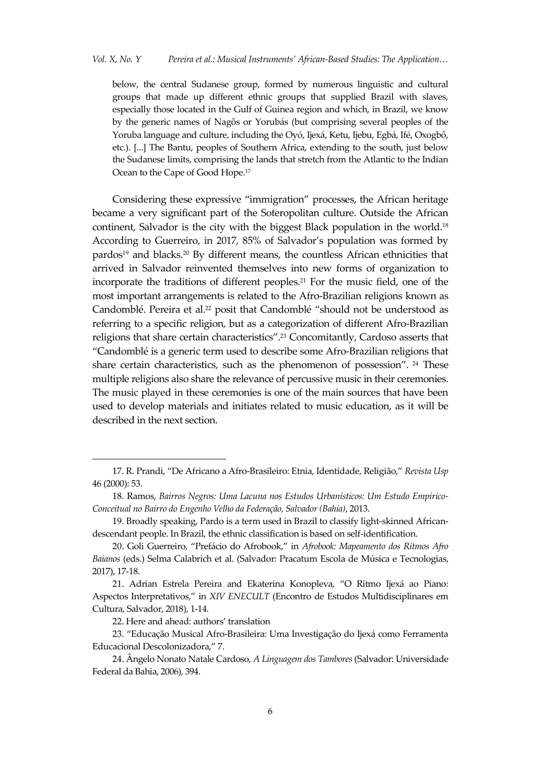below, the central Sudanese group, formed by numerous linguistic and cultural groups that made up different ethnic groups that supplied Brazil with slaves, especially those located in the Gulf of Guinea region and which, in Brazil, we know by the generic names of Nagôs or Yorubás (but comprising several peoples of the Yoruba language and culture, including the Oyó, Ijexá, Ketu, Ijebu, Egbá, Ifé, Oxogbô, etc.). [...] The Bantu, peoples of Southern Africa, extending to the south, just below the Sudanese limits, comprising the lands that stretch from the Atlantic to the Indian Ocean to the Cape of Good Hope.<sup>17</sup>

Considering these expressive 'immigration' processes, the African heritage became a very significant part of the Soteropolitan culture. Outside the African continent, Salvador is the city with the biggest Black population in the world.<sup>18</sup> According to Guerreiro, in 2017, 85% of Salvador's population was formed by pardos<sup>19</sup> and blacks.<sup>20</sup> By different means, the countless African ethnicities that arrived in Salvador reinvented themselves into new forms of organization to incorporate the traditions of different peoples.<sup>21</sup> For the music field, one of the most important arrangements is related to the Afro-Brazilian religions known as Candomblé. Pereira et al.<sup>22</sup> posit that Candomblé "should not be understood as referring to a specific religion, but as a categorization of different Afro-Brazilian religions that share certain characteristics'.<sup>23</sup> Concomitantly, Cardoso asserts that 'Candomblé is a generic term used to describe some Afro-Brazilian religions that share certain characteristics, such as the phenomenon of possession'. <sup>24</sup> These multiple religions also share the relevance of percussive music in their ceremonies. The music played in these ceremonies is one of the main sources that have been used to develop materials and initiates related to music education, as it will be described in the next section.

 $\ddot{\phantom{a}}$ 

<sup>17.</sup> R. Prandi, 'De Africano a Afro-Brasileiro: Etnia, Identidade, Religião,' *Revista Usp* 46 (2000): 53.

<sup>18.</sup> Ramos, *Bairros Negros: Uma Lacuna nos Estudos Urbanísticos: Um Estudo Empírico-Conceitual no Bairro do Engenho Velho da Federação, Salvador (Bahia)*, 2013.

<sup>19.</sup> Broadly speaking, Pardo is a term used in Brazil to classify light-skinned Africandescendant people. In Brazil, the ethnic classification is based on self-identification.

<sup>20.</sup> Goli Guerreiro, 'Pref{cio do Afrobook,' in *Afrobook: Mapeamento dos Ritmos Afro Baianos* (eds.) Selma Calabrich et al. (Salvador: Pracatum Escola de Música e Tecnologias, 2017), 17-18.

<sup>21.</sup> Adrian Estrela Pereira and Ekaterina Konopleva, "O Ritmo Ijexá ao Piano: Aspectos Interpretativos,' in *XIV ENECULT* (Encontro de Estudos Multidisciplinares em Cultura, Salvador, 2018), 1-14.

<sup>22.</sup> Here and ahead: authors' translation

<sup>23.</sup> 'Educação Musical Afro-Brasileira: Uma Investigação do Ijexá como Ferramenta Educacional Descolonizadora,' 7.

<sup>24.</sup> Ângelo Nonato Natale Cardoso, *A Linguagem dos Tambores* (Salvador: Universidade Federal da Bahia, 2006), 394.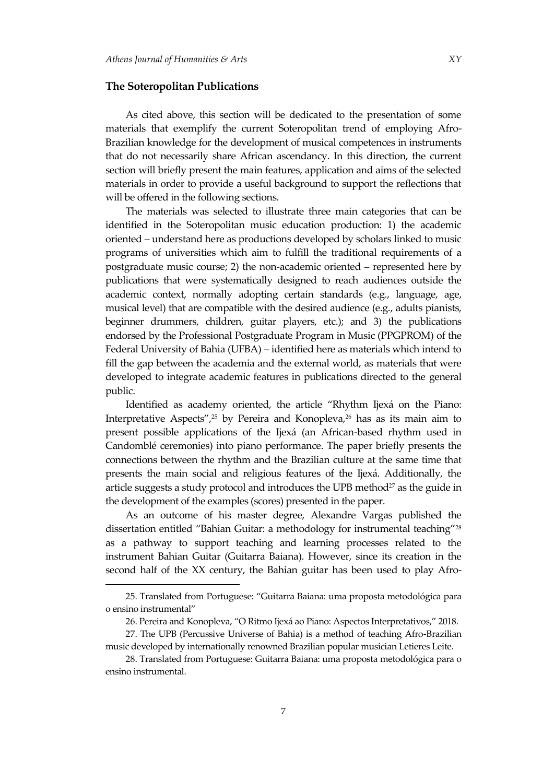$\overline{\phantom{a}}$ 

#### **The Soteropolitan Publications**

As cited above, this section will be dedicated to the presentation of some materials that exemplify the current Soteropolitan trend of employing Afro-Brazilian knowledge for the development of musical competences in instruments that do not necessarily share African ascendancy. In this direction, the current section will briefly present the main features, application and aims of the selected materials in order to provide a useful background to support the reflections that will be offered in the following sections.

The materials was selected to illustrate three main categories that can be identified in the Soteropolitan music education production: 1) the academic oriented – understand here as productions developed by scholars linked to music programs of universities which aim to fulfill the traditional requirements of a postgraduate music course; 2) the non-academic oriented – represented here by publications that were systematically designed to reach audiences outside the academic context, normally adopting certain standards (e.g., language, age, musical level) that are compatible with the desired audience (e.g., adults pianists, beginner drummers, children, guitar players, etc.); and 3) the publications endorsed by the Professional Postgraduate Program in Music (PPGPROM) of the Federal University of Bahia (UFBA) – identified here as materials which intend to fill the gap between the academia and the external world, as materials that were developed to integrate academic features in publications directed to the general public.

Identified as academy oriented, the article "Rhythm Ijexá on the Piano: Interpretative Aspects',<sup>25</sup> by Pereira and Konopleva,<sup>26</sup> has as its main aim to present possible applications of the Ijexá (an African-based rhythm used in Candomblé ceremonies) into piano performance. The paper briefly presents the connections between the rhythm and the Brazilian culture at the same time that presents the main social and religious features of the Ijexá. Additionally, the article suggests a study protocol and introduces the UPB method $2<sup>7</sup>$  as the guide in the development of the examples (scores) presented in the paper.

As an outcome of his master degree, Alexandre Vargas published the dissertation entitled 'Bahian Guitar: a methodology for instrumental teaching'<sup>28</sup> as a pathway to support teaching and learning processes related to the instrument Bahian Guitar (Guitarra Baiana). However, since its creation in the second half of the XX century, the Bahian guitar has been used to play Afro-

<sup>25.</sup> Translated from Portuguese: 'Guitarra Baiana: uma proposta metodológica para o ensino instrumental'

<sup>26.</sup> Pereira and Konopleva, "O Ritmo Ijexá ao Piano: Aspectos Interpretativos," 2018.

<sup>27.</sup> The UPB (Percussive Universe of Bahia) is a method of teaching Afro-Brazilian music developed by internationally renowned Brazilian popular musician Letieres Leite.

<sup>28.</sup> Translated from Portuguese: Guitarra Baiana: uma proposta metodológica para o ensino instrumental.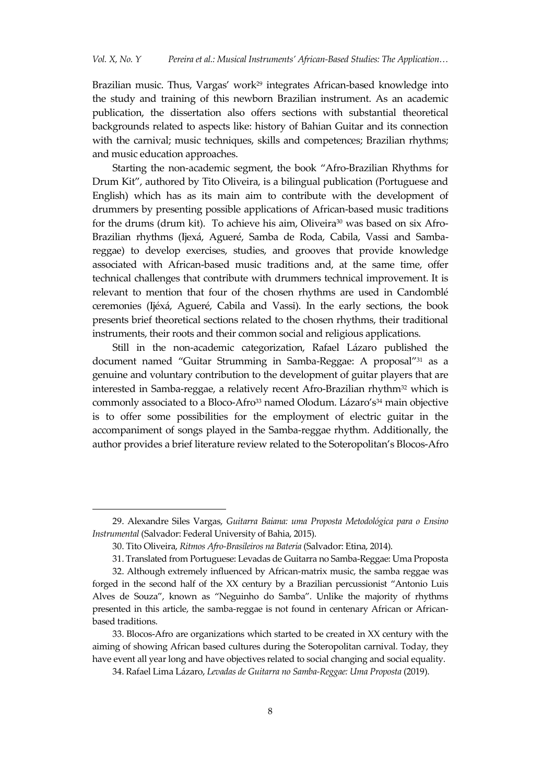Brazilian music. Thus, Vargas' work<sup>29</sup> integrates African-based knowledge into the study and training of this newborn Brazilian instrument. As an academic publication, the dissertation also offers sections with substantial theoretical backgrounds related to aspects like: history of Bahian Guitar and its connection with the carnival; music techniques, skills and competences; Brazilian rhythms; and music education approaches.

Starting the non-academic segment, the book 'Afro-Brazilian Rhythms for Drum Kit', authored by Tito Oliveira, is a bilingual publication (Portuguese and English) which has as its main aim to contribute with the development of drummers by presenting possible applications of African-based music traditions for the drums (drum kit). To achieve his aim, Oliveira<sup>30</sup> was based on six Afro-Brazilian rhythms (Ijexá, Agueré, Samba de Roda, Cabila, Vassi and Sambareggae) to develop exercises, studies, and grooves that provide knowledge associated with African-based music traditions and, at the same time, offer technical challenges that contribute with drummers technical improvement. It is relevant to mention that four of the chosen rhythms are used in Candomblé ceremonies (Ijéxá, Agueré, Cabila and Vassi). In the early sections, the book presents brief theoretical sections related to the chosen rhythms, their traditional instruments, their roots and their common social and religious applications.

Still in the non-academic categorization, Rafael Lázaro published the document named "Guitar Strumming in Samba-Reggae: A proposal"<sup>31</sup> as a genuine and voluntary contribution to the development of guitar players that are interested in Samba-reggae, a relatively recent Afro-Brazilian rhythm $32$  which is commonly associated to a Bloco-Afro<sup>33</sup> named Olodum. Lázaro's<sup>34</sup> main objective is to offer some possibilities for the employment of electric guitar in the accompaniment of songs played in the Samba-reggae rhythm. Additionally, the author provides a brief literature review related to the Soteropolitan's Blocos-Afro

<sup>29.</sup> Alexandre Siles Vargas, *Guitarra Baiana: uma Proposta Metodológica para o Ensino Instrumental* (Salvador: Federal University of Bahia, 2015).

<sup>30.</sup> Tito Oliveira, *Ritmos Afro-Brasileiros na Bateria* (Salvador: Etina, 2014).

<sup>31.</sup> Translated from Portuguese: Levadas de Guitarra no Samba-Reggae: Uma Proposta

<sup>32.</sup> Although extremely influenced by African-matrix music, the samba reggae was forged in the second half of the XX century by a Brazilian percussionist 'Antonio Luis Alves de Souza', known as 'Neguinho do Samba'. Unlike the majority of rhythms presented in this article, the samba-reggae is not found in centenary African or Africanbased traditions.

<sup>33.</sup> Blocos-Afro are organizations which started to be created in XX century with the aiming of showing African based cultures during the Soteropolitan carnival. Today, they have event all year long and have objectives related to social changing and social equality.

<sup>34.</sup> Rafael Lima Lázaro, *Levadas de Guitarra no Samba-Reggae: Uma Proposta* (2019).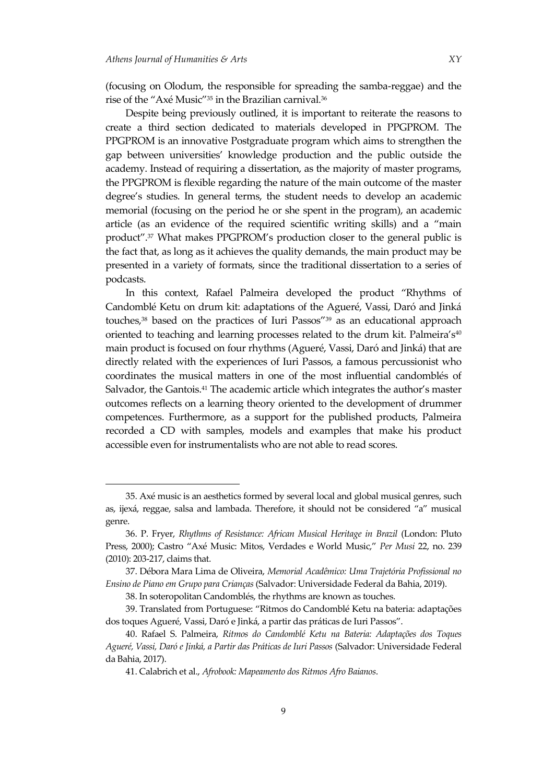$\overline{a}$ 

(focusing on Olodum, the responsible for spreading the samba-reggae) and the rise of the "Axé Music"<sup>35</sup> in the Brazilian carnival.<sup>36</sup>

Despite being previously outlined, it is important to reiterate the reasons to create a third section dedicated to materials developed in PPGPROM. The PPGPROM is an innovative Postgraduate program which aims to strengthen the gap between universities' knowledge production and the public outside the academy. Instead of requiring a dissertation, as the majority of master programs, the PPGPROM is flexible regarding the nature of the main outcome of the master degree's studies. In general terms, the student needs to develop an academic memorial (focusing on the period he or she spent in the program), an academic article (as an evidence of the required scientific writing skills) and a 'main product".<sup>37</sup> What makes PPGPROM's production closer to the general public is the fact that, as long as it achieves the quality demands, the main product may be presented in a variety of formats, since the traditional dissertation to a series of podcasts.

In this context, Rafael Palmeira developed the product 'Rhythms of Candomblé Ketu on drum kit: adaptations of the Agueré, Vassi, Daró and Jinká touches,<sup>38</sup> based on the practices of Iuri Passos'<sup>39</sup> as an educational approach oriented to teaching and learning processes related to the drum kit. Palmeira's<sup>40</sup> main product is focused on four rhythms (Agueré, Vassi, Daró and Jinká) that are directly related with the experiences of Iuri Passos, a famous percussionist who coordinates the musical matters in one of the most influential candomblés of Salvador, the Gantois.<sup>41</sup> The academic article which integrates the author's master outcomes reflects on a learning theory oriented to the development of drummer competences. Furthermore, as a support for the published products, Palmeira recorded a CD with samples, models and examples that make his product accessible even for instrumentalists who are not able to read scores.

38. In soteropolitan Candomblés, the rhythms are known as touches.

<sup>35.</sup> Axé music is an aesthetics formed by several local and global musical genres, such as, ijexá, reggae, salsa and lambada. Therefore, it should not be considered "a" musical genre.

<sup>36.</sup> P. Fryer, *Rhythms of Resistance: African Musical Heritage in Brazil* (London: Pluto Press, 2000); Castro 'Axé Music: Mitos, Verdades e World Music,' *Per Musi* 22, no. 239 (2010): 203-217, claims that.

<sup>37.</sup> Débora Mara Lima de Oliveira, *Memorial Acadêmico: Uma Trajetória Profissional no Ensino de Piano em Grupo para Crianças* (Salvador: Universidade Federal da Bahia, 2019).

<sup>39.</sup> Translated from Portuguese: 'Ritmos do Candomblé Ketu na bateria: adaptações dos toques Agueré, Vassi, Daró e Jinká, a partir das práticas de Iuri Passos".

<sup>40.</sup> Rafael S. Palmeira, *Ritmos do Candomblé Ketu na Bateria: Adaptações dos Toques Agueré, Vassi, Daró e Jinká, a Partir das Práticas de Iuri Passos* (Salvador: Universidade Federal da Bahia, 2017).

<sup>41.</sup> Calabrich et al., *Afrobook: Mapeamento dos Ritmos Afro Baianos*.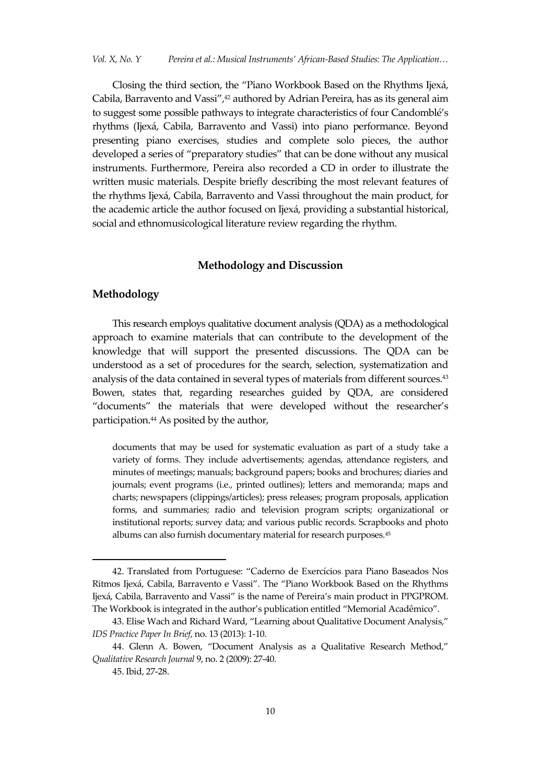Closing the third section, the 'Piano Workbook Based on the Rhythms Ijexá, Cabila, Barravento and Vassi",<sup>42</sup> authored by Adrian Pereira, has as its general aim to suggest some possible pathways to integrate characteristics of four Candomblé's rhythms (Ijexá, Cabila, Barravento and Vassi) into piano performance. Beyond presenting piano exercises, studies and complete solo pieces, the author developed a series of 'preparatory studies' that can be done without any musical instruments. Furthermore, Pereira also recorded a CD in order to illustrate the written music materials. Despite briefly describing the most relevant features of the rhythms Ijexá, Cabila, Barravento and Vassi throughout the main product, for the academic article the author focused on Ijexá, providing a substantial historical, social and ethnomusicological literature review regarding the rhythm.

#### **Methodology and Discussion**

#### **Methodology**

This research employs qualitative document analysis (QDA) as a methodological approach to examine materials that can contribute to the development of the knowledge that will support the presented discussions. The QDA can be understood as a set of procedures for the search, selection, systematization and analysis of the data contained in several types of materials from different sources.<sup>43</sup> Bowen, states that, regarding researches guided by QDA, are considered 'documents' the materials that were developed without the researcher's participation.<sup>44</sup> As posited by the author,

documents that may be used for systematic evaluation as part of a study take a variety of forms. They include advertisements; agendas, attendance registers, and minutes of meetings; manuals; background papers; books and brochures; diaries and journals; event programs (i.e., printed outlines); letters and memoranda; maps and charts; newspapers (clippings/articles); press releases; program proposals, application forms, and summaries; radio and television program scripts; organizational or institutional reports; survey data; and various public records. Scrapbooks and photo albums can also furnish documentary material for research purposes.<sup>45</sup>

<sup>42.</sup> Translated from Portuguese: 'Caderno de Exercícios para Piano Baseados Nos Ritmos Ijex{, Cabila, Barravento e Vassi'. The 'Piano Workbook Based on the Rhythms Ijexá, Cabila, Barravento and Vassi" is the name of Pereira's main product in PPGPROM. The Workbook is integrated in the author's publication entitled 'Memorial Acadêmico'.

<sup>43.</sup> Elise Wach and Richard Ward, 'Learning about Qualitative Document Analysis,' *IDS Practice Paper In Brief*, no. 13 (2013): 1-10.

<sup>44.</sup> Glenn A. Bowen, 'Document Analysis as a Qualitative Research Method,' *Qualitative Research Journal* 9, no. 2 (2009): 27-40.

<sup>45.</sup> Ibid, 27-28.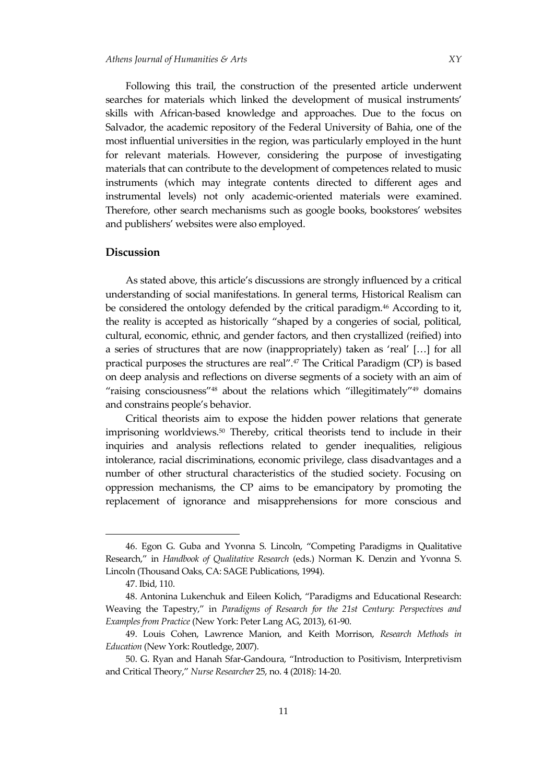Following this trail, the construction of the presented article underwent searches for materials which linked the development of musical instruments' skills with African-based knowledge and approaches. Due to the focus on Salvador, the academic repository of the Federal University of Bahia, one of the most influential universities in the region, was particularly employed in the hunt for relevant materials. However, considering the purpose of investigating materials that can contribute to the development of competences related to music instruments (which may integrate contents directed to different ages and instrumental levels) not only academic-oriented materials were examined. Therefore, other search mechanisms such as google books, bookstores' websites and publishers' websites were also employed.

#### **Discussion**

As stated above, this article's discussions are strongly influenced by a critical understanding of social manifestations. In general terms, Historical Realism can be considered the ontology defended by the critical paradigm.<sup>46</sup> According to it, the reality is accepted as historically 'shaped by a congeries of social, political, cultural, economic, ethnic, and gender factors, and then crystallized (reified) into a series of structures that are now (inappropriately) taken as 'real'  $[...]$  for all practical purposes the structures are real'.<sup>47</sup> The Critical Paradigm (CP) is based on deep analysis and reflections on diverse segments of a society with an aim of "raising consciousness"<sup>48</sup> about the relations which "illegitimately"<sup>49</sup> domains and constrains people's behavior.

Critical theorists aim to expose the hidden power relations that generate imprisoning worldviews.<sup>50</sup> Thereby, critical theorists tend to include in their inquiries and analysis reflections related to gender inequalities, religious intolerance, racial discriminations, economic privilege, class disadvantages and a number of other structural characteristics of the studied society. Focusing on oppression mechanisms, the CP aims to be emancipatory by promoting the replacement of ignorance and misapprehensions for more conscious and

<sup>46.</sup> Egon G. Guba and Yvonna S. Lincoln, 'Competing Paradigms in Qualitative Research,' in *Handbook of Qualitative Research* (eds.) Norman K. Denzin and Yvonna S. Lincoln (Thousand Oaks, CA: SAGE Publications, 1994).

<sup>47.</sup> Ibid, 110.

<sup>48.</sup> Antonina Lukenchuk and Eileen Kolich, 'Paradigms and Educational Research: Weaving the Tapestry,' in *Paradigms of Research for the 21st Century: Perspectives and Examples from Practice* (New York: Peter Lang AG, 2013), 61-90.

<sup>49.</sup> Louis Cohen, Lawrence Manion, and Keith Morrison, *Research Methods in Education* (New York: Routledge, 2007).

<sup>50.</sup> G. Ryan and Hanah Sfar-Gandoura, 'Introduction to Positivism, Interpretivism and Critical Theory,' *Nurse Researcher* 25, no. 4 (2018): 14-20.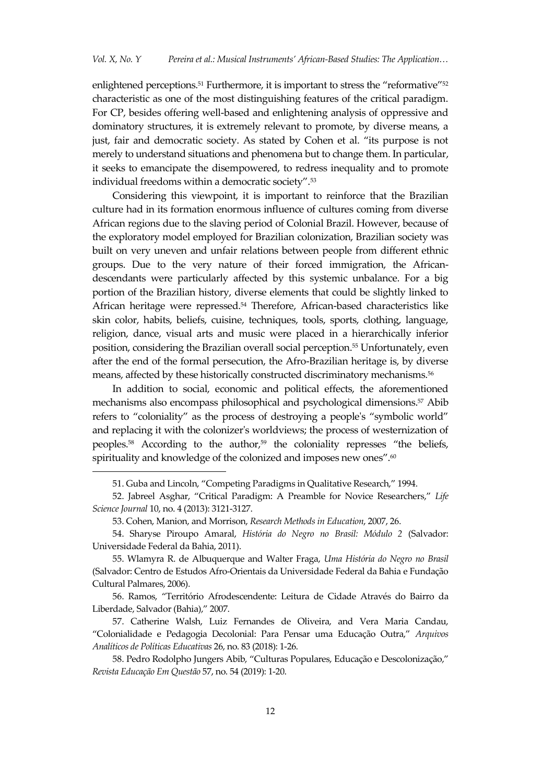enlightened perceptions.<sup>51</sup> Furthermore, it is important to stress the "reformative"<sup>52</sup> characteristic as one of the most distinguishing features of the critical paradigm. For CP, besides offering well-based and enlightening analysis of oppressive and dominatory structures, it is extremely relevant to promote, by diverse means, a just, fair and democratic society. As stated by Cohen et al. 'its purpose is not merely to understand situations and phenomena but to change them. In particular, it seeks to emancipate the disempowered, to redress inequality and to promote individual freedoms within a democratic society'.<sup>53</sup>

Considering this viewpoint, it is important to reinforce that the Brazilian culture had in its formation enormous influence of cultures coming from diverse African regions due to the slaving period of Colonial Brazil. However, because of the exploratory model employed for Brazilian colonization, Brazilian society was built on very uneven and unfair relations between people from different ethnic groups. Due to the very nature of their forced immigration, the Africandescendants were particularly affected by this systemic unbalance. For a big portion of the Brazilian history, diverse elements that could be slightly linked to African heritage were repressed.<sup>54</sup> Therefore, African-based characteristics like skin color, habits, beliefs, cuisine, techniques, tools, sports, clothing, language, religion, dance, visual arts and music were placed in a hierarchically inferior position, considering the Brazilian overall social perception.<sup>55</sup> Unfortunately, even after the end of the formal persecution, the Afro-Brazilian heritage is, by diverse means, affected by these historically constructed discriminatory mechanisms.<sup>56</sup>

In addition to social, economic and political effects, the aforementioned mechanisms also encompass philosophical and psychological dimensions.<sup>57</sup> Abib refers to "coloniality" as the process of destroying a people's "symbolic world" and replacing it with the colonizer's worldviews; the process of westernization of peoples. <sup>58</sup> According to the author,<sup>59</sup> the coloniality represses 'the beliefs, spirituality and knowledge of the colonized and imposes new ones".<sup>60</sup>

<sup>51.</sup> Guba and Lincoln, 'Competing Paradigms in Qualitative Research,' 1994.

<sup>52.</sup> Jabreel Asghar, 'Critical Paradigm: A Preamble for Novice Researchers,' *Life Science Journal* 10, no. 4 (2013): 3121-3127.

<sup>53.</sup> Cohen, Manion, and Morrison, *Research Methods in Education*, 2007, 26.

<sup>54.</sup> Sharyse Piroupo Amaral, *História do Negro no Brasil: Módulo 2* (Salvador: Universidade Federal da Bahia, 2011).

<sup>55.</sup> Wlamyra R. de Albuquerque and Walter Fraga, *Uma História do Negro no Brasil* (Salvador: Centro de Estudos Afro-Orientais da Universidade Federal da Bahia e Fundação Cultural Palmares, 2006).

<sup>56.</sup> Ramos, 'Território Afrodescendente: Leitura de Cidade Através do Bairro da Liberdade, Salvador (Bahia),' 2007.

<sup>57.</sup> Catherine Walsh, Luiz Fernandes de Oliveira, and Vera Maria Candau, 'Colonialidade e Pedagogia Decolonial: Para Pensar uma Educação Outra,' *Arquivos Analíticos de Políticas Educativas* 26, no. 83 (2018): 1-26.

<sup>58.</sup> Pedro Rodolpho Jungers Abib, 'Culturas Populares, Educação e Descolonização,' *Revista Educação Em Questão* 57, no. 54 (2019): 1-20.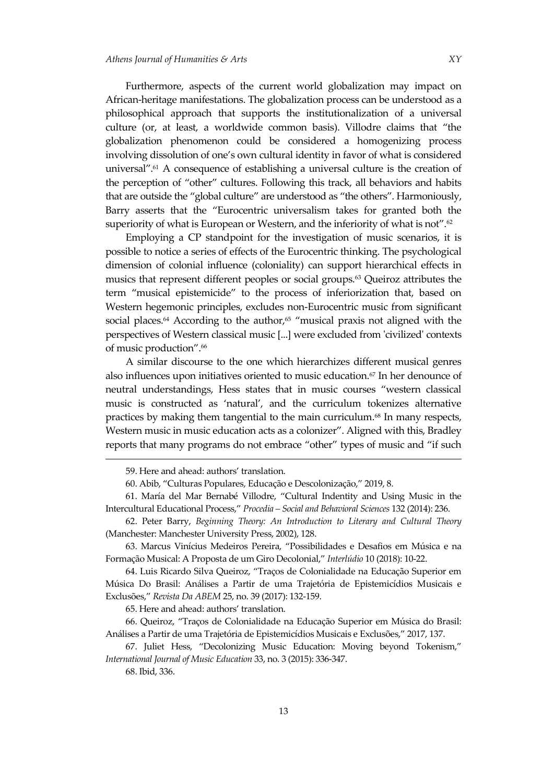Furthermore, aspects of the current world globalization may impact on African-heritage manifestations. The globalization process can be understood as a philosophical approach that supports the institutionalization of a universal culture (or, at least, a worldwide common basis). Villodre claims that 'the globalization phenomenon could be considered a homogenizing process involving dissolution of one's own cultural identity in favor of what is considered universal". $61$  A consequence of establishing a universal culture is the creation of the perception of 'other' cultures. Following this track, all behaviors and habits that are outside the 'global culture' are understood as 'the others'. Harmoniously, Barry asserts that the 'Eurocentric universalism takes for granted both the superiority of what is European or Western, and the inferiority of what is not".<sup>62</sup>

Employing a CP standpoint for the investigation of music scenarios, it is possible to notice a series of effects of the Eurocentric thinking. The psychological dimension of colonial influence (coloniality) can support hierarchical effects in musics that represent different peoples or social groups.<sup>63</sup> Queiroz attributes the term 'musical epistemicide' to the process of inferiorization that, based on Western hegemonic principles, excludes non-Eurocentric music from significant social places.<sup>64</sup> According to the author,<sup>65</sup> "musical praxis not aligned with the perspectives of Western classical music [...] were excluded from 'civilized' contexts of music production'.<sup>66</sup>

A similar discourse to the one which hierarchizes different musical genres also influences upon initiatives oriented to music education.<sup>67</sup> In her denounce of neutral understandings, Hess states that in music courses 'western classical music is constructed as 'natural', and the curriculum tokenizes alternative practices by making them tangential to the main curriculum.<sup>68</sup> In many respects, Western music in music education acts as a colonizer'. Aligned with this, Bradley reports that many programs do not embrace 'other' types of music and 'if such

65. Here and ahead: authors' translation.

66. Queiroz, 'Traços de Colonialidade na Educação Superior em Música do Brasil: An{lises a Partir de uma Trajetória de Epistemicídios Musicais e Exclusões,' 2017, 137.

<sup>59.</sup> Here and ahead: authors' translation.

<sup>60.</sup> Abib, 'Culturas Populares, Educação e Descolonização,' 2019, 8.

<sup>61.</sup> María del Mar Bernabé Villodre, 'Cultural Indentity and Using Music in the Intercultural Educational Process,' *Procedia – Social and Behavioral Sciences* 132 (2014): 236.

<sup>62.</sup> Peter Barry, *Beginning Theory: An Introduction to Literary and Cultural Theory* (Manchester: Manchester University Press, 2002), 128.

<sup>63.</sup> Marcus Vinícius Medeiros Pereira, 'Possibilidades e Desafios em Música e na Formação Musical: A Proposta de um Giro Decolonial,' *Interlúdio* 10 (2018): 10-22.

<sup>64.</sup> Luis Ricardo Silva Queiroz, 'Traços de Colonialidade na Educação Superior em Música Do Brasil: Análises a Partir de uma Trajetória de Epistemicídios Musicais e Exclusões,' *Revista Da ABEM* 25, no. 39 (2017): 132-159.

<sup>67.</sup> Juliet Hess, 'Decolonizing Music Education: Moving beyond Tokenism,' *International Journal of Music Education* 33, no. 3 (2015): 336-347.

<sup>68.</sup> Ibid, 336.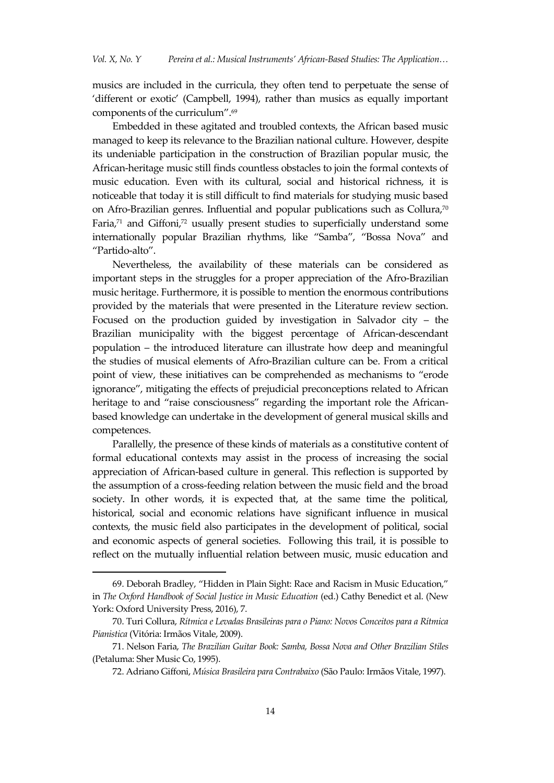musics are included in the curricula, they often tend to perpetuate the sense of 'different or exotic' (Campbell, 1994), rather than musics as equally important components of the curriculum'. 69

Embedded in these agitated and troubled contexts, the African based music managed to keep its relevance to the Brazilian national culture. However, despite its undeniable participation in the construction of Brazilian popular music, the African-heritage music still finds countless obstacles to join the formal contexts of music education. Even with its cultural, social and historical richness, it is noticeable that today it is still difficult to find materials for studying music based on Afro-Brazilian genres. Influential and popular publications such as Collura,<sup>70</sup> Faria, $71$  and Giffoni, $72$  usually present studies to superficially understand some internationally popular Brazilian rhythms, like 'Samba', 'Bossa Nova' and 'Partido-alto'.

Nevertheless, the availability of these materials can be considered as important steps in the struggles for a proper appreciation of the Afro-Brazilian music heritage. Furthermore, it is possible to mention the enormous contributions provided by the materials that were presented in the Literature review section. Focused on the production guided by investigation in Salvador city – the Brazilian municipality with the biggest percentage of African-descendant population – the introduced literature can illustrate how deep and meaningful the studies of musical elements of Afro-Brazilian culture can be. From a critical point of view, these initiatives can be comprehended as mechanisms to 'erode ignorance', mitigating the effects of prejudicial preconceptions related to African heritage to and "raise consciousness" regarding the important role the Africanbased knowledge can undertake in the development of general musical skills and competences.

Parallelly, the presence of these kinds of materials as a constitutive content of formal educational contexts may assist in the process of increasing the social appreciation of African-based culture in general. This reflection is supported by the assumption of a cross-feeding relation between the music field and the broad society. In other words, it is expected that, at the same time the political, historical, social and economic relations have significant influence in musical contexts, the music field also participates in the development of political, social and economic aspects of general societies. Following this trail, it is possible to reflect on the mutually influential relation between music, music education and

<sup>69.</sup> Deborah Bradley, 'Hidden in Plain Sight: Race and Racism in Music Education,' in *The Oxford Handbook of Social Justice in Music Education* (ed.) Cathy Benedict et al. (New York: Oxford University Press, 2016), 7.

<sup>70.</sup> Turi Collura, *Rítmica e Levadas Brasileiras para o Piano: Novos Conceitos para a Rítmica Pianistica* (Vitória: Irmãos Vitale, 2009).

<sup>71.</sup> Nelson Faria, *The Brazilian Guitar Book: Samba, Bossa Nova and Other Brazilian Stiles* (Petaluma: Sher Music Co, 1995).

<sup>72.</sup> Adriano Giffoni, *Música Brasileira para Contrabaixo* (São Paulo: Irmãos Vitale, 1997).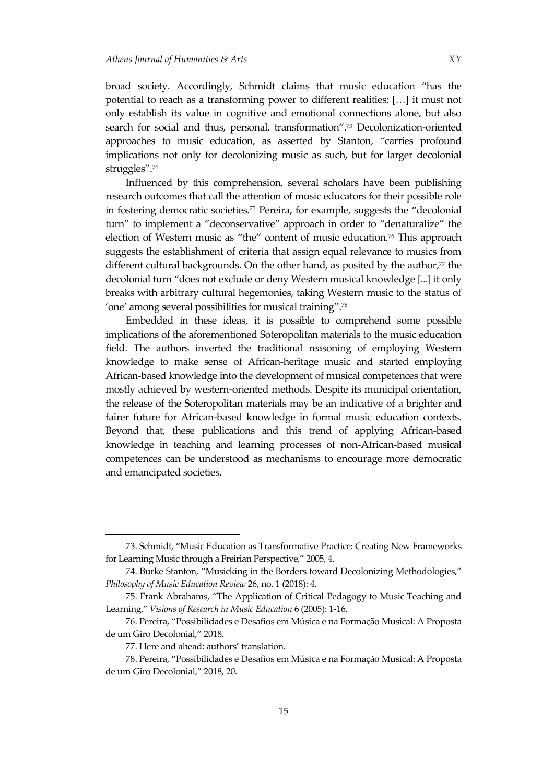broad society. Accordingly, Schmidt claims that music education 'has the potential to reach as a transforming power to different realities;  $[...]$  it must not only establish its value in cognitive and emotional connections alone, but also search for social and thus, personal, transformation".<sup>73</sup> Decolonization-oriented approaches to music education, as asserted by Stanton, 'carries profound implications not only for decolonizing music as such, but for larger decolonial struggles'.<sup>74</sup>

Influenced by this comprehension, several scholars have been publishing research outcomes that call the attention of music educators for their possible role in fostering democratic societies.<sup>75</sup> Pereira, for example, suggests the 'decolonial turn' to implement a 'deconservative' approach in order to 'denaturalize' the election of Western music as "the" content of music education.<sup>76</sup> This approach suggests the establishment of criteria that assign equal relevance to musics from different cultural backgrounds. On the other hand, as posited by the author, <sup>77</sup> the decolonial turn "does not exclude or deny Western musical knowledge [...] it only breaks with arbitrary cultural hegemonies, taking Western music to the status of 'one' among several possibilities for musical training'.<sup>78</sup>

Embedded in these ideas, it is possible to comprehend some possible implications of the aforementioned Soteropolitan materials to the music education field. The authors inverted the traditional reasoning of employing Western knowledge to make sense of African-heritage music and started employing African-based knowledge into the development of musical competences that were mostly achieved by western-oriented methods. Despite its municipal orientation, the release of the Soteropolitan materials may be an indicative of a brighter and fairer future for African-based knowledge in formal music education contexts. Beyond that, these publications and this trend of applying African-based knowledge in teaching and learning processes of non-African-based musical competences can be understood as mechanisms to encourage more democratic and emancipated societies.

<sup>73.</sup> Schmidt, 'Music Education as Transformative Practice: Creating New Frameworks for Learning Music through a Freirian Perspective,' 2005, 4.

<sup>74.</sup> Burke Stanton, 'Musicking in the Borders toward Decolonizing Methodologies,' *Philosophy of Music Education Review* 26, no. 1 (2018): 4.

<sup>75.</sup> Frank Abrahams, 'The Application of Critical Pedagogy to Music Teaching and Learning,' *Visions of Research in Music Education* 6 (2005): 1-16.

<sup>76.</sup> Pereira, 'Possibilidades e Desafios em Música e na Formação Musical: A Proposta de um Giro Decolonial,' 2018.

<sup>77.</sup> Here and ahead: authors' translation.

<sup>78.</sup> Pereira, 'Possibilidades e Desafios em Música e na Formação Musical: A Proposta de um Giro Decolonial,' 2018, 20.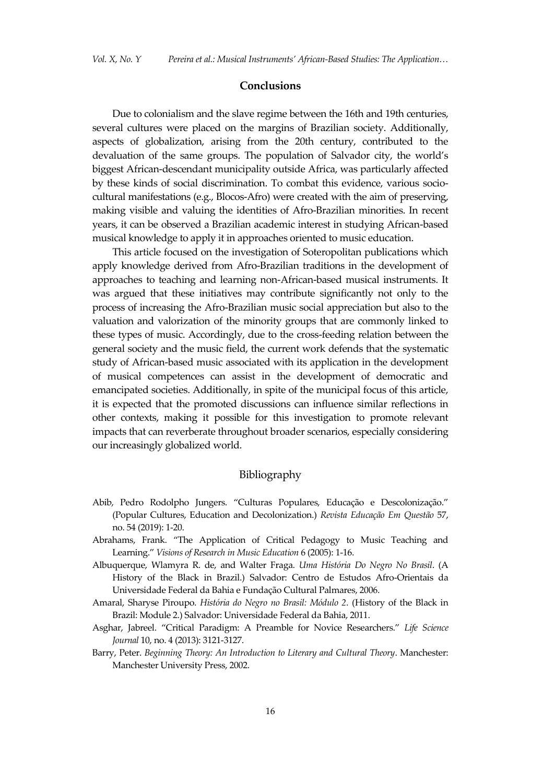#### **Conclusions**

Due to colonialism and the slave regime between the 16th and 19th centuries, several cultures were placed on the margins of Brazilian society. Additionally, aspects of globalization, arising from the 20th century, contributed to the devaluation of the same groups. The population of Salvador city, the world's biggest African-descendant municipality outside Africa, was particularly affected by these kinds of social discrimination. To combat this evidence, various sociocultural manifestations (e.g., Blocos-Afro) were created with the aim of preserving, making visible and valuing the identities of Afro-Brazilian minorities. In recent years, it can be observed a Brazilian academic interest in studying African-based musical knowledge to apply it in approaches oriented to music education.

This article focused on the investigation of Soteropolitan publications which apply knowledge derived from Afro-Brazilian traditions in the development of approaches to teaching and learning non-African-based musical instruments. It was argued that these initiatives may contribute significantly not only to the process of increasing the Afro-Brazilian music social appreciation but also to the valuation and valorization of the minority groups that are commonly linked to these types of music. Accordingly, due to the cross-feeding relation between the general society and the music field, the current work defends that the systematic study of African-based music associated with its application in the development of musical competences can assist in the development of democratic and emancipated societies. Additionally, in spite of the municipal focus of this article, it is expected that the promoted discussions can influence similar reflections in other contexts, making it possible for this investigation to promote relevant impacts that can reverberate throughout broader scenarios, especially considering our increasingly globalized world.

### Bibliography

- Abib, Pedro Rodolpho Jungers. 'Culturas Populares, Educação e Descolonização.' (Popular Cultures, Education and Decolonization.) *Revista Educação Em Questão* 57, no. 54 (2019): 1-20.
- Abrahams, Frank. 'The Application of Critical Pedagogy to Music Teaching and Learning.' *Visions of Research in Music Education* 6 (2005): 1-16.
- Albuquerque, Wlamyra R. de, and Walter Fraga. *Uma História Do Negro No Brasil*. (A History of the Black in Brazil.) Salvador: Centro de Estudos Afro-Orientais da Universidade Federal da Bahia e Fundação Cultural Palmares, 2006.
- Amaral, Sharyse Piroupo. *História do Negro no Brasil: Módulo 2*. (History of the Black in Brazil: Module 2.) Salvador: Universidade Federal da Bahia, 2011.
- Asghar, Jabreel. 'Critical Paradigm: A Preamble for Novice Researchers.' *Life Science Journal* 10, no. 4 (2013): 3121-3127.
- Barry, Peter. *Beginning Theory: An Introduction to Literary and Cultural Theory*. Manchester: Manchester University Press, 2002.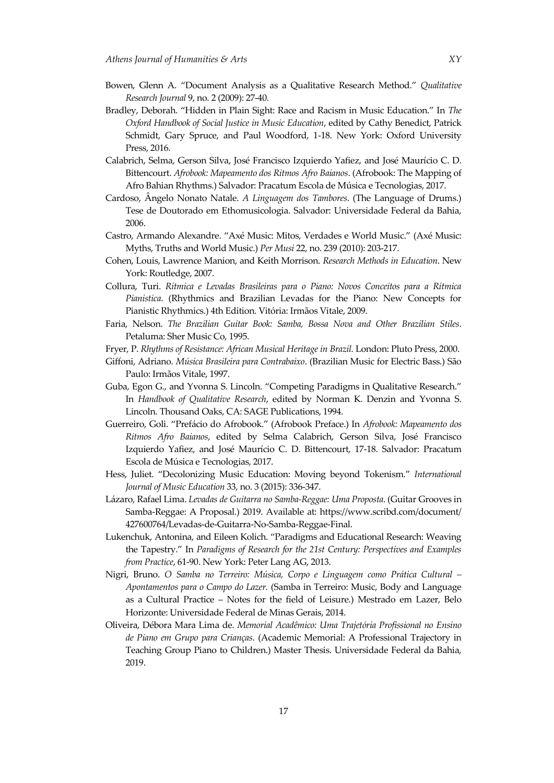- Bowen, Glenn A. 'Document Analysis as a Qualitative Research Method.' *Qualitative Research Journal* 9, no. 2 (2009): 27-40.
- Bradley, Deborah. 'Hidden in Plain Sight: Race and Racism in Music Education.' In *The Oxford Handbook of Social Justice in Music Education*, edited by Cathy Benedict, Patrick Schmidt, Gary Spruce, and Paul Woodford, 1-18. New York: Oxford University Press, 2016.
- Calabrich, Selma, Gerson Silva, José Francisco Izquierdo Yafiez, and José Maurício C. D. Bittencourt. *Afrobook: Mapeamento dos Ritmos Afro Baianos*. (Afrobook: The Mapping of Afro Bahian Rhythms.) Salvador: Pracatum Escola de Música e Tecnologias, 2017.
- Cardoso, Ângelo Nonato Natale. *A Linguagem dos Tambores*. (The Language of Drums.) Tese de Doutorado em Ethomusicologia. Salvador: Universidade Federal da Bahia, 2006.
- Castro, Armando Alexandre. 'Axé Music: Mitos, Verdades e World Music.' (Axé Music: Myths, Truths and World Music.) *Per Musi* 22, no. 239 (2010): 203-217.
- Cohen, Louis, Lawrence Manion, and Keith Morrison. *Research Methods in Education*. New York: Routledge, 2007.
- Collura, Turi. *Rítmica e Levadas Brasileiras para o Piano: Novos Conceitos para a Rítmica Pianistica*. (Rhythmics and Brazilian Levadas for the Piano: New Concepts for Pianistic Rhythmics.) 4th Edition. Vitória: Irmãos Vitale, 2009.
- Faria, Nelson. *The Brazilian Guitar Book: Samba, Bossa Nova and Other Brazilian Stiles*. Petaluma: Sher Music Co, 1995.
- Fryer, P. *Rhythms of Resistance: African Musical Heritage in Brazil.* London: Pluto Press, 2000.
- Giffoni, Adriano. *Música Brasileira para Contrabaixo*. (Brazilian Music for Electric Bass.) São Paulo: Irmãos Vitale, 1997.
- Guba, Egon G., and Yvonna S. Lincoln. 'Competing Paradigms in Qualitative Research.' In *Handbook of Qualitative Research*, edited by Norman K. Denzin and Yvonna S. Lincoln. Thousand Oaks, CA: SAGE Publications, 1994.
- Guerreiro, Goli. 'Pref{cio do Afrobook.' (Afrobook Preface.) In *Afrobook: Mapeamento dos Ritmos Afro Baianos*, edited by Selma Calabrich, Gerson Silva, José Francisco Izquierdo Yafiez, and José Maurício C. D. Bittencourt, 17-18. Salvador: Pracatum Escola de Música e Tecnologias, 2017.
- Hess, Juliet. 'Decolonizing Music Education: Moving beyond Tokenism.' *International Journal of Music Education* 33, no. 3 (2015): 336-347.
- Lázaro, Rafael Lima. *Levadas de Guitarra no Samba-Reggae: Uma Proposta*. (Guitar Grooves in Samba-Reggae: A Proposal.) 2019. Available at: https://www.scribd.com/document/ 427600764/Levadas-de-Guitarra-No-Samba-Reggae-Final.
- Lukenchuk, Antonina, and Eileen Kolich. 'Paradigms and Educational Research: Weaving the Tapestry.' In *Paradigms of Research for the 21st Century: Perspectives and Examples from Practice*, 61-90. New York: Peter Lang AG, 2013.
- Nigri, Bruno. *O Samba no Terreiro: Música, Corpo e Linguagem como Prática Cultural – Apontamentos para o Campo do Lazer.* (Samba in Terreiro: Music, Body and Language as a Cultural Practice – Notes for the field of Leisure.) Mestrado em Lazer, Belo Horizonte: Universidade Federal de Minas Gerais, 2014.
- Oliveira, Débora Mara Lima de. *Memorial Acadêmico: Uma Trajetória Profissional no Ensino de Piano em Grupo para Crianças*. (Academic Memorial: A Professional Trajectory in Teaching Group Piano to Children.) Master Thesis. Universidade Federal da Bahia, 2019.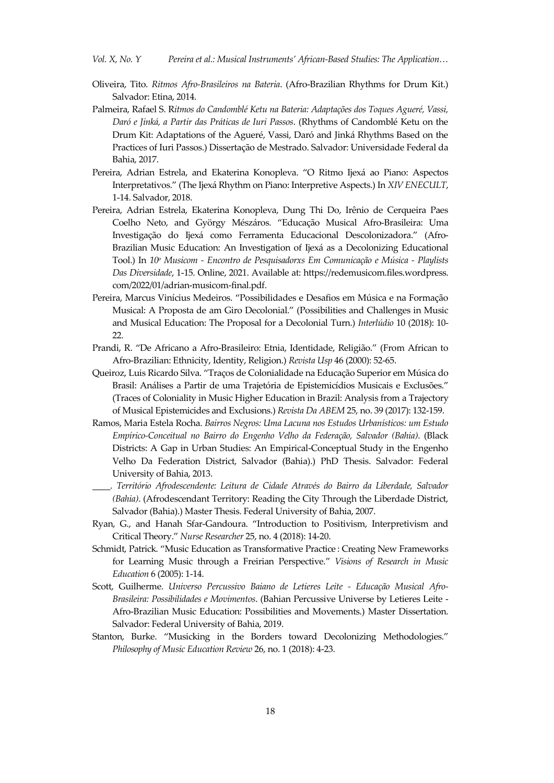- Oliveira, Tito. *Ritmos Afro-Brasileiros na Bateria*. (Afro-Brazilian Rhythms for Drum Kit.) Salvador: Etina, 2014.
- Palmeira, Rafael S. R*itmos do Candomblé Ketu na Bateria: Adaptações dos Toques Agueré, Vassi, Daró e Jinká, a Partir das Práticas de Iuri Passos*. (Rhythms of Candomblé Ketu on the Drum Kit: Adaptations of the Agueré, Vassi, Daró and Jinká Rhythms Based on the Practices of Iuri Passos.) Dissertação de Mestrado. Salvador: Universidade Federal da Bahia, 2017.
- Pereira, Adrian Estrela, and Ekaterina Konopleva. "O Ritmo Ijexá ao Piano: Aspectos Interpretativos.' (The Ijexá Rhythm on Piano: Interpretive Aspects.) In *XIV ENECULT*, 1-14. Salvador, 2018.
- Pereira, Adrian Estrela, Ekaterina Konopleva, Dung Thi Do, Irênio de Cerqueira Paes Coelho Neto, and György Mészáros. "Educação Musical Afro-Brasileira: Uma Investigação do Ijexá como Ferramenta Educacional Descolonizadora." (Afro-Brazilian Music Education: An Investigation of Ijexá as a Decolonizing Educational Tool.) In *10<sup>o</sup> Musicom - Encontro de Pesquisadorxs Em Comunicação e Música - Playlists Das Diversidade*, 1-15. Online, 2021. Available at: https://redemusicom.files.wordpress. com/2022/01/adrian-musicom-final.pdf.
- Pereira, Marcus Vinícius Medeiros. 'Possibilidades e Desafios em Música e na Formação Musical: A Proposta de am Giro Decolonial.' (Possibilities and Challenges in Music and Musical Education: The Proposal for a Decolonial Turn.) *Interlúdio* 10 (2018): 10- 22.
- Prandi, R. 'De Africano a Afro-Brasileiro: Etnia, Identidade, Religião.' (From African to Afro-Brazilian: Ethnicity, Identity, Religion.) *Revista Usp* 46 (2000): 52-65.
- Queiroz, Luis Ricardo Silva. 'Traços de Colonialidade na Educação Superior em Música do Brasil: An{lises a Partir de uma Trajetória de Epistemicídios Musicais e Exclusões.' (Traces of Coloniality in Music Higher Education in Brazil: Analysis from a Trajectory of Musical Epistemicides and Exclusions.) *Revista Da ABEM* 25, no. 39 (2017): 132-159.
- Ramos, Maria Estela Rocha. *Bairros Negros: Uma Lacuna nos Estudos Urbanísticos: um Estudo Empírico-Conceitual no Bairro do Engenho Velho da Federação, Salvador (Bahia)*. (Black Districts: A Gap in Urban Studies: An Empirical-Conceptual Study in the Engenho Velho Da Federation District, Salvador (Bahia).) PhD Thesis. Salvador: Federal University of Bahia, 2013.
- \_\_\_\_. *Território Afrodescendente: Leitura de Cidade Através do Bairro da Liberdade, Salvador (Bahia)*. (Afrodescendant Territory: Reading the City Through the Liberdade District, Salvador (Bahia).) Master Thesis. Federal University of Bahia, 2007.
- Ryan, G., and Hanah Sfar-Gandoura. 'Introduction to Positivism, Interpretivism and Critical Theory.' *Nurse Researcher* 25, no. 4 (2018): 14-20.
- Schmidt, Patrick. 'Music Education as Transformative Practice : Creating New Frameworks for Learning Music through a Freirian Perspective.' *Visions of Research in Music Education* 6 (2005): 1-14.
- Scott, Guilherme. *Universo Percussivo Baiano de Letieres Leite - Educação Musical Afro-Brasileira: Possibilidades e Movimentos*. (Bahian Percussive Universe by Letieres Leite - Afro-Brazilian Music Education: Possibilities and Movements.) Master Dissertation. Salvador: Federal University of Bahia, 2019.
- Stanton, Burke. 'Musicking in the Borders toward Decolonizing Methodologies.' *Philosophy of Music Education Review* 26, no. 1 (2018): 4-23.